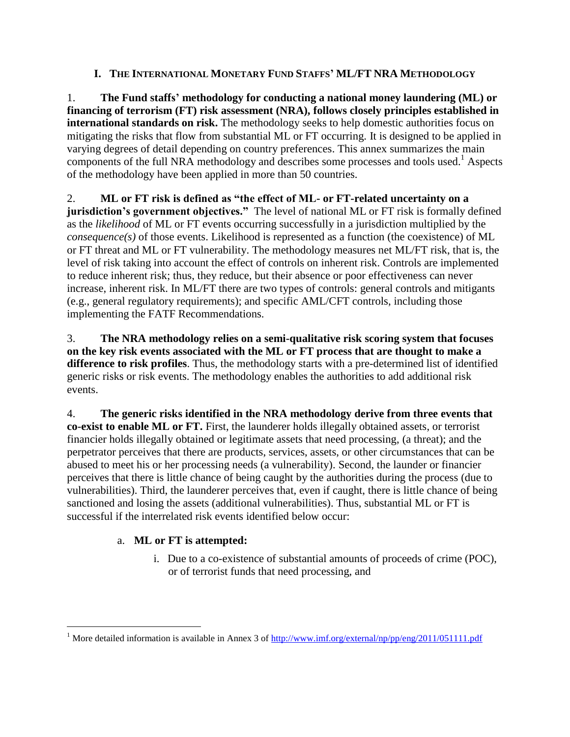## **I. THE INTERNATIONAL MONETARY FUND STAFFS' ML/FT NRA METHODOLOGY**

1. **The Fund staffs' methodology for conducting a national money laundering (ML) or financing of terrorism (FT) risk assessment (NRA), follows closely principles established in international standards on risk.** The methodology seeks to help domestic authorities focus on mitigating the risks that flow from substantial ML or FT occurring. It is designed to be applied in varying degrees of detail depending on country preferences. This annex summarizes the main components of the full NRA methodology and describes some processes and tools used. <sup>1</sup> Aspects of the methodology have been applied in more than 50 countries.

2. **ML or FT risk is defined as "the effect of ML- or FT-related uncertainty on a jurisdiction's government objectives."** The level of national ML or FT risk is formally defined as the *likelihood* of ML or FT events occurring successfully in a jurisdiction multiplied by the *consequence(s)* of those events. Likelihood is represented as a function (the coexistence) of ML or FT threat and ML or FT vulnerability. The methodology measures net ML/FT risk, that is, the level of risk taking into account the effect of controls on inherent risk. Controls are implemented to reduce inherent risk; thus, they reduce, but their absence or poor effectiveness can never increase, inherent risk. In ML/FT there are two types of controls: general controls and mitigants (e.g., general regulatory requirements); and specific AML/CFT controls, including those implementing the FATF Recommendations.

3. **The NRA methodology relies on a semi-qualitative risk scoring system that focuses on the key risk events associated with the ML or FT process that are thought to make a difference to risk profiles**. Thus, the methodology starts with a pre-determined list of identified generic risks or risk events. The methodology enables the authorities to add additional risk events.

4. **The generic risks identified in the NRA methodology derive from three events that co-exist to enable ML or FT.** First, the launderer holds illegally obtained assets, or terrorist financier holds illegally obtained or legitimate assets that need processing, (a threat); and the perpetrator perceives that there are products, services, assets, or other circumstances that can be abused to meet his or her processing needs (a vulnerability). Second, the launder or financier perceives that there is little chance of being caught by the authorities during the process (due to vulnerabilities). Third, the launderer perceives that, even if caught, there is little chance of being sanctioned and losing the assets (additional vulnerabilities). Thus, substantial ML or FT is successful if the interrelated risk events identified below occur:

## a. **ML or FT is attempted:**

 $\overline{a}$ 

i. Due to a co-existence of substantial amounts of proceeds of crime (POC), or of terrorist funds that need processing, and

<sup>&</sup>lt;sup>1</sup> More detailed information is available in Annex 3 of<http://www.imf.org/external/np/pp/eng/2011/051111.pdf>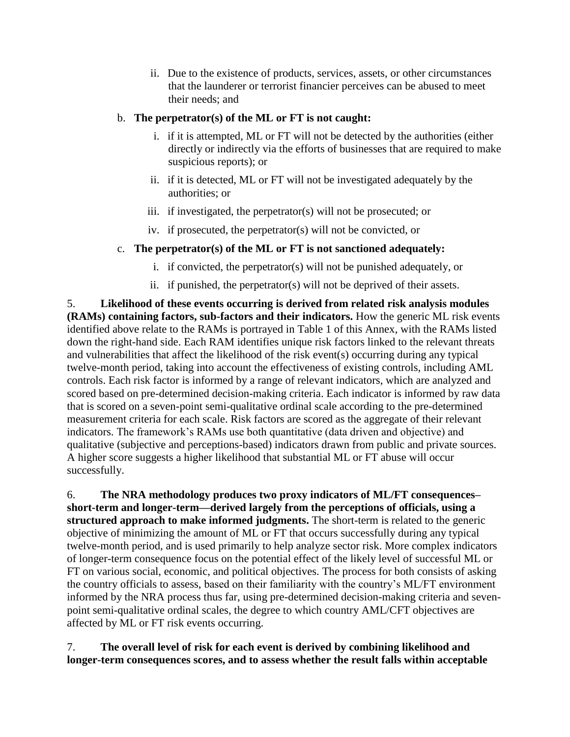ii. Due to the existence of products, services, assets, or other circumstances that the launderer or terrorist financier perceives can be abused to meet their needs; and

## b. **The perpetrator(s) of the ML or FT is not caught:**

- i. if it is attempted, ML or FT will not be detected by the authorities (either directly or indirectly via the efforts of businesses that are required to make suspicious reports); or
- ii. if it is detected, ML or FT will not be investigated adequately by the authorities; or
- iii. if investigated, the perpetrator(s) will not be prosecuted; or
- iv. if prosecuted, the perpetrator(s) will not be convicted, or
- c. **The perpetrator(s) of the ML or FT is not sanctioned adequately:**
	- i. if convicted, the perpetrator(s) will not be punished adequately, or
	- ii. if punished, the perpetrator(s) will not be deprived of their assets.

5. **Likelihood of these events occurring is derived from related risk analysis modules (RAMs) containing factors, sub-factors and their indicators.** How the generic ML risk events identified above relate to the RAMs is portrayed in Table 1 of this Annex, with the RAMs listed down the right-hand side. Each RAM identifies unique risk factors linked to the relevant threats and vulnerabilities that affect the likelihood of the risk event(s) occurring during any typical twelve-month period, taking into account the effectiveness of existing controls, including AML controls. Each risk factor is informed by a range of relevant indicators, which are analyzed and scored based on pre-determined decision-making criteria. Each indicator is informed by raw data that is scored on a seven-point semi-qualitative ordinal scale according to the pre-determined measurement criteria for each scale. Risk factors are scored as the aggregate of their relevant indicators. The framework's RAMs use both quantitative (data driven and objective) and qualitative (subjective and perceptions-based) indicators drawn from public and private sources. A higher score suggests a higher likelihood that substantial ML or FT abuse will occur successfully.

6. **The NRA methodology produces two proxy indicators of ML/FT consequences– short-term and longer-term—derived largely from the perceptions of officials, using a structured approach to make informed judgments.** The short-term is related to the generic objective of minimizing the amount of ML or FT that occurs successfully during any typical twelve-month period, and is used primarily to help analyze sector risk. More complex indicators of longer-term consequence focus on the potential effect of the likely level of successful ML or FT on various social, economic, and political objectives. The process for both consists of asking the country officials to assess, based on their familiarity with the country's ML/FT environment informed by the NRA process thus far, using pre-determined decision-making criteria and sevenpoint semi-qualitative ordinal scales, the degree to which country AML/CFT objectives are affected by ML or FT risk events occurring.

## 7. **The overall level of risk for each event is derived by combining likelihood and longer-term consequences scores, and to assess whether the result falls within acceptable**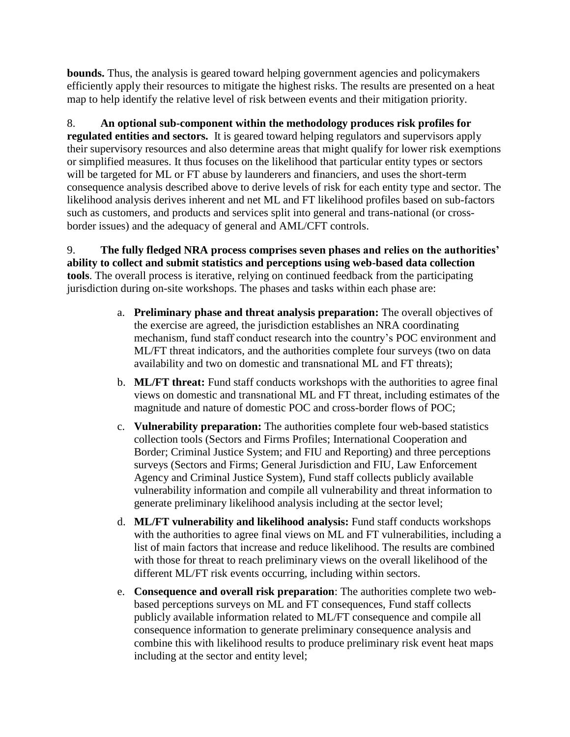**bounds.** Thus, the analysis is geared toward helping government agencies and policymakers efficiently apply their resources to mitigate the highest risks. The results are presented on a heat map to help identify the relative level of risk between events and their mitigation priority.

8. **An optional sub-component within the methodology produces risk profiles for regulated entities and sectors.** It is geared toward helping regulators and supervisors apply their supervisory resources and also determine areas that might qualify for lower risk exemptions or simplified measures. It thus focuses on the likelihood that particular entity types or sectors will be targeted for ML or FT abuse by launderers and financiers, and uses the short-term consequence analysis described above to derive levels of risk for each entity type and sector. The likelihood analysis derives inherent and net ML and FT likelihood profiles based on sub-factors such as customers, and products and services split into general and trans-national (or crossborder issues) and the adequacy of general and AML/CFT controls.

9. **The fully fledged NRA process comprises seven phases and relies on the authorities' ability to collect and submit statistics and perceptions using web-based data collection tools**. The overall process is iterative, relying on continued feedback from the participating jurisdiction during on-site workshops. The phases and tasks within each phase are:

- a. **Preliminary phase and threat analysis preparation:** The overall objectives of the exercise are agreed, the jurisdiction establishes an NRA coordinating mechanism, fund staff conduct research into the country's POC environment and ML/FT threat indicators, and the authorities complete four surveys (two on data availability and two on domestic and transnational ML and FT threats);
- b. **ML/FT threat:** Fund staff conducts workshops with the authorities to agree final views on domestic and transnational ML and FT threat, including estimates of the magnitude and nature of domestic POC and cross-border flows of POC;
- c. **Vulnerability preparation:** The authorities complete four web-based statistics collection tools (Sectors and Firms Profiles; International Cooperation and Border; Criminal Justice System; and FIU and Reporting) and three perceptions surveys (Sectors and Firms; General Jurisdiction and FIU, Law Enforcement Agency and Criminal Justice System), Fund staff collects publicly available vulnerability information and compile all vulnerability and threat information to generate preliminary likelihood analysis including at the sector level;
- d. **ML/FT vulnerability and likelihood analysis:** Fund staff conducts workshops with the authorities to agree final views on ML and FT vulnerabilities, including a list of main factors that increase and reduce likelihood. The results are combined with those for threat to reach preliminary views on the overall likelihood of the different ML/FT risk events occurring, including within sectors.
- e. **Consequence and overall risk preparation**: The authorities complete two webbased perceptions surveys on ML and FT consequences, Fund staff collects publicly available information related to ML/FT consequence and compile all consequence information to generate preliminary consequence analysis and combine this with likelihood results to produce preliminary risk event heat maps including at the sector and entity level;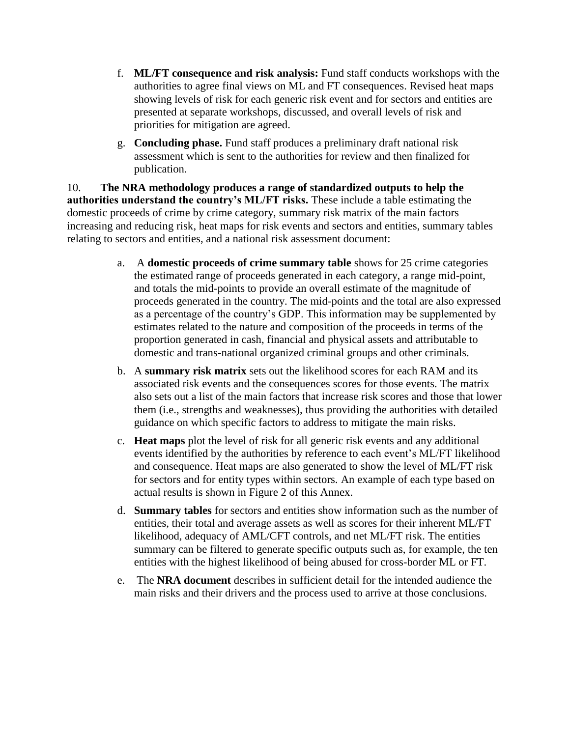- f. **ML/FT consequence and risk analysis:** Fund staff conducts workshops with the authorities to agree final views on ML and FT consequences. Revised heat maps showing levels of risk for each generic risk event and for sectors and entities are presented at separate workshops, discussed, and overall levels of risk and priorities for mitigation are agreed.
- g. **Concluding phase.** Fund staff produces a preliminary draft national risk assessment which is sent to the authorities for review and then finalized for publication.

10. **The NRA methodology produces a range of standardized outputs to help the authorities understand the country's ML/FT risks.** These include a table estimating the domestic proceeds of crime by crime category, summary risk matrix of the main factors increasing and reducing risk, heat maps for risk events and sectors and entities, summary tables relating to sectors and entities, and a national risk assessment document:

- a. A **domestic proceeds of crime summary table** shows for 25 crime categories the estimated range of proceeds generated in each category, a range mid-point, and totals the mid-points to provide an overall estimate of the magnitude of proceeds generated in the country. The mid-points and the total are also expressed as a percentage of the country's GDP. This information may be supplemented by estimates related to the nature and composition of the proceeds in terms of the proportion generated in cash, financial and physical assets and attributable to domestic and trans-national organized criminal groups and other criminals.
- b. A **summary risk matrix** sets out the likelihood scores for each RAM and its associated risk events and the consequences scores for those events. The matrix also sets out a list of the main factors that increase risk scores and those that lower them (i.e., strengths and weaknesses), thus providing the authorities with detailed guidance on which specific factors to address to mitigate the main risks.
- c. **Heat maps** plot the level of risk for all generic risk events and any additional events identified by the authorities by reference to each event's ML/FT likelihood and consequence. Heat maps are also generated to show the level of ML/FT risk for sectors and for entity types within sectors. An example of each type based on actual results is shown in Figure 2 of this Annex.
- d. **Summary tables** for sectors and entities show information such as the number of entities, their total and average assets as well as scores for their inherent ML/FT likelihood, adequacy of AML/CFT controls, and net ML/FT risk. The entities summary can be filtered to generate specific outputs such as, for example, the ten entities with the highest likelihood of being abused for cross-border ML or FT.
- e. The **NRA document** describes in sufficient detail for the intended audience the main risks and their drivers and the process used to arrive at those conclusions.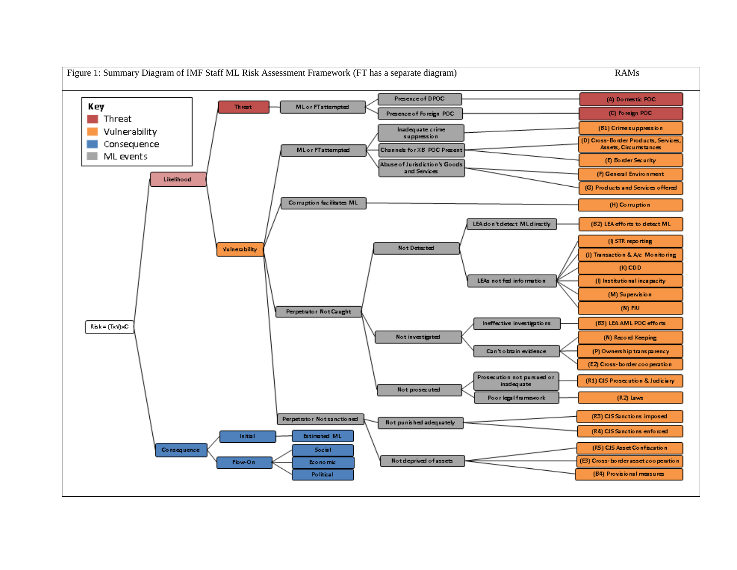